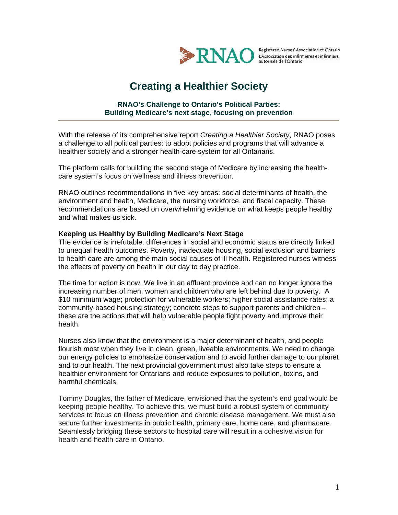

Registered Nurses' Association of Ontario

# **Creating a Healthier Society**

## **RNAO's Challenge to Ontario's Political Parties: Building Medicare's next stage, focusing on prevention**

With the release of its comprehensive report *Creating a Healthier Society*, RNAO poses a challenge to all political parties: to adopt policies and programs that will advance a healthier society and a stronger health-care system for all Ontarians.

The platform calls for building the second stage of Medicare by increasing the healthcare system's focus on wellness and illness prevention.

RNAO outlines recommendations in five key areas: social determinants of health, the environment and health, Medicare, the nursing workforce, and fiscal capacity. These recommendations are based on overwhelming evidence on what keeps people healthy and what makes us sick.

#### **Keeping us Healthy by Building Medicare's Next Stage**

The evidence is irrefutable: differences in social and economic status are directly linked to unequal health outcomes. Poverty, inadequate housing, social exclusion and barriers to health care are among the main social causes of ill health. Registered nurses witness the effects of poverty on health in our day to day practice.

The time for action is now. We live in an affluent province and can no longer ignore the increasing number of men, women and children who are left behind due to poverty. A \$10 minimum wage; protection for vulnerable workers; higher social assistance rates; a community-based housing strategy; concrete steps to support parents and children – these are the actions that will help vulnerable people fight poverty and improve their health.

Nurses also know that the environment is a major determinant of health, and people flourish most when they live in clean, green, liveable environments. We need to change our energy policies to emphasize conservation and to avoid further damage to our planet and to our health. The next provincial government must also take steps to ensure a healthier environment for Ontarians and reduce exposures to pollution, toxins, and harmful chemicals.

Tommy Douglas, the father of Medicare, envisioned that the system's end goal would be keeping people healthy. To achieve this, we must build a robust system of community services to focus on illness prevention and chronic disease management. We must also secure further investments in public health, primary care, home care, and pharmacare. Seamlessly bridging these sectors to hospital care will result in a cohesive vision for health and health care in Ontario.